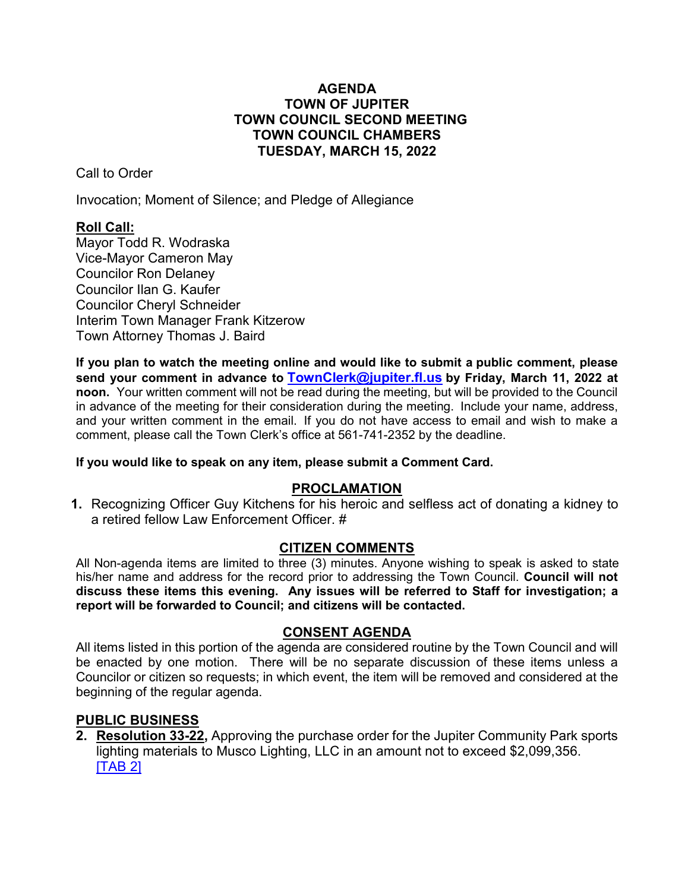### **AGENDA TOWN OF JUPITER TOWN COUNCIL SECOND MEETING TOWN COUNCIL CHAMBERS TUESDAY, MARCH 15, 2022**

Call to Order

Invocation; Moment of Silence; and Pledge of Allegiance

# **Roll Call:**

Mayor Todd R. Wodraska Vice-Mayor Cameron May Councilor Ron Delaney Councilor Ilan G. Kaufer Councilor Cheryl Schneider Interim Town Manager Frank Kitzerow Town Attorney Thomas J. Baird

**If you plan to watch the meeting online and would like to submit a public comment, please send your comment in advance to [TownClerk@jupiter.fl.us](mailto:TownClerk@jupiter.fl.us) by Friday, March 11, 2022 at noon.** Your written comment will not be read during the meeting, but will be provided to the Council in advance of the meeting for their consideration during the meeting. Include your name, address, and your written comment in the email. If you do not have access to email and wish to make a comment, please call the Town Clerk's office at 561-741-2352 by the deadline.

### **If you would like to speak on any item, please submit a Comment Card.**

# **PROCLAMATION**

**1.** Recognizing Officer Guy Kitchens for his heroic and selfless act of donating a kidney to a retired fellow Law Enforcement Officer. #

## **CITIZEN COMMENTS**

All Non-agenda items are limited to three (3) minutes. Anyone wishing to speak is asked to state his/her name and address for the record prior to addressing the Town Council. **Council will not discuss these items this evening. Any issues will be referred to Staff for investigation; a report will be forwarded to Council; and citizens will be contacted.**

## **CONSENT AGENDA**

All items listed in this portion of the agenda are considered routine by the Town Council and will be enacted by one motion. There will be no separate discussion of these items unless a Councilor or citizen so requests; in which event, the item will be removed and considered at the beginning of the regular agenda.

## **PUBLIC BUSINESS**

**2. Resolution 33-22,** Approving the purchase order for the Jupiter Community Park sports lighting materials to Musco Lighting, LLC in an amount not to exceed \$2,099,356. [\[TAB 2\]](http://www.jupiter.fl.us/documentcenter/view/29712)